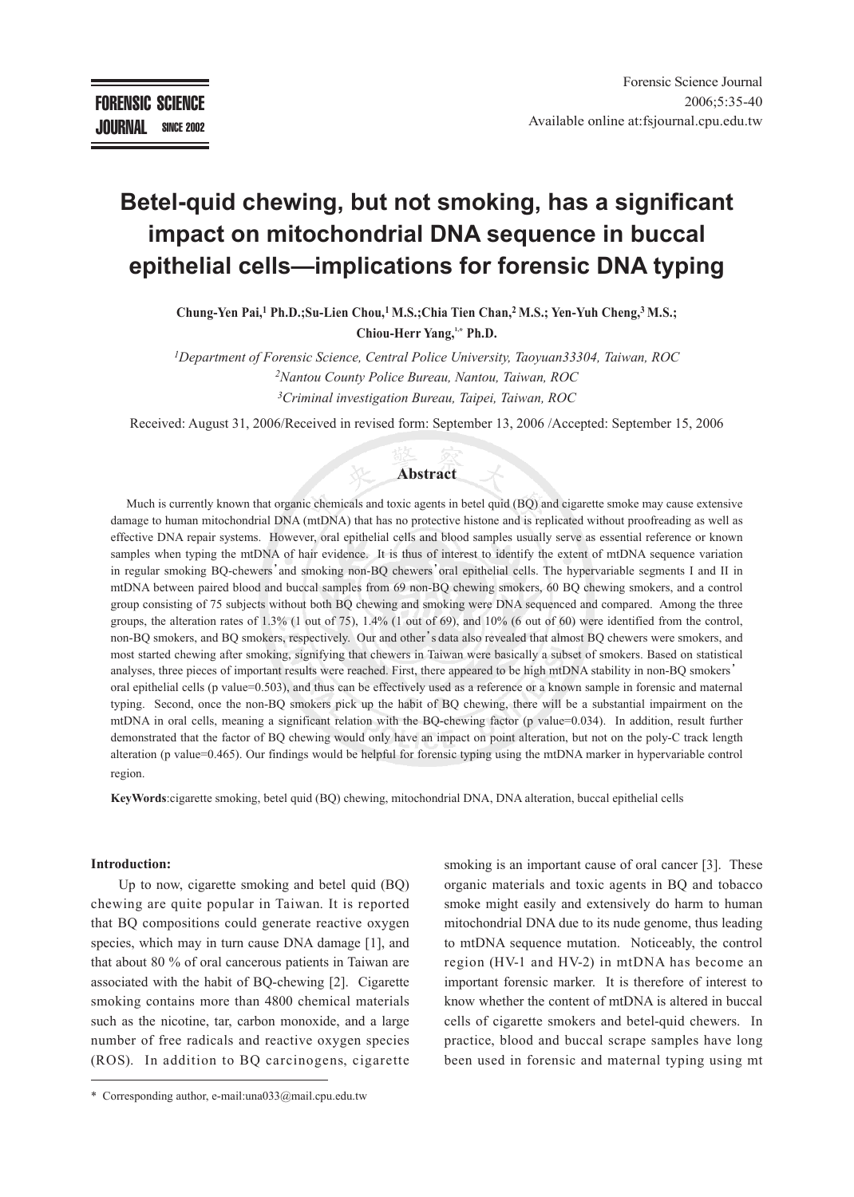# **Betel-quid chewing, but not smoking, has a significant impact on mitochondrial DNA sequence in buccal epithelial cells—implications for forensic DNA typing**

**Chung-Yen Pai,1 Ph.D.;Su-Lien Chou,1 M.S.;Chia Tien Chan,2 M.S.; Yen-Yuh Cheng,3 M.S.; Chiou-Herr Yang,1,\* Ph.D.**

*1Department of Forensic Science, Central Police University, Taoyuan33304, Taiwan, ROC 2Nantou County Police Bureau, Nantou, Taiwan, ROC 3Criminal investigation Bureau, Taipei, Taiwan, ROC*

Received: August 31, 2006/Received in revised form: September 13, 2006 /Accepted: September 15, 2006

#### **Abstract**

Much is currently known that organic chemicals and toxic agents in betel quid (BQ) and cigarette smoke may cause extensive damage to human mitochondrial DNA (mtDNA) that has no protective histone and is replicated without proofreading as well as effective DNA repair systems. However, oral epithelial cells and blood samples usually serve as essential reference or known samples when typing the mtDNA of hair evidence. It is thus of interest to identify the extent of mtDNA sequence variation in regular smoking BQ-chewers'and smoking non-BQ chewers'oral epithelial cells. The hypervariable segments I and II in mtDNA between paired blood and buccal samples from 69 non-BQ chewing smokers, 60 BQ chewing smokers, and a control group consisting of 75 subjects without both BQ chewing and smoking were DNA sequenced and compared. Among the three groups, the alteration rates of 1.3% (1 out of 75), 1.4% (1 out of 69), and 10% (6 out of 60) were identified from the control, non-BQ smokers, and BQ smokers, respectively. Our and other's data also revealed that almost BQ chewers were smokers, and most started chewing after smoking, signifying that chewers in Taiwan were basically a subset of smokers. Based on statistical analyses, three pieces of important results were reached. First, there appeared to be high mtDNA stability in non-BQ smokers' oral epithelial cells (p value=0.503), and thus can be effectively used as a reference or a known sample in forensic and maternal typing. Second, once the non-BQ smokers pick up the habit of BQ chewing, there will be a substantial impairment on the mtDNA in oral cells, meaning a significant relation with the BQ-chewing factor (p value=0.034). In addition, result further demonstrated that the factor of BQ chewing would only have an impact on point alteration, but not on the poly-C track length alteration (p value=0.465). Our findings would be helpful for forensic typing using the mtDNA marker in hypervariable control region.

**KeyWords**:cigarette smoking, betel quid (BQ) chewing, mitochondrial DNA, DNA alteration, buccal epithelial cells

#### **Introduction:**

Up to now, cigarette smoking and betel quid (BQ) chewing are quite popular in Taiwan. It is reported that BQ compositions could generate reactive oxygen species, which may in turn cause DNA damage [1], and that about 80 % of oral cancerous patients in Taiwan are associated with the habit of BQ-chewing [2]. Cigarette smoking contains more than 4800 chemical materials such as the nicotine, tar, carbon monoxide, and a large number of free radicals and reactive oxygen species (ROS). In addition to BQ carcinogens, cigarette smoking is an important cause of oral cancer [3]. These organic materials and toxic agents in BQ and tobacco smoke might easily and extensively do harm to human mitochondrial DNA due to its nude genome, thus leading to mtDNA sequence mutation. Noticeably, the control region (HV-1 and HV-2) in mtDNA has become an important forensic marker. It is therefore of interest to know whether the content of mtDNA is altered in buccal cells of cigarette smokers and betel-quid chewers. In practice, blood and buccal scrape samples have long been used in forensic and maternal typing using mt

<sup>\*</sup> Corresponding author, e-mail:una033@mail.cpu.edu.tw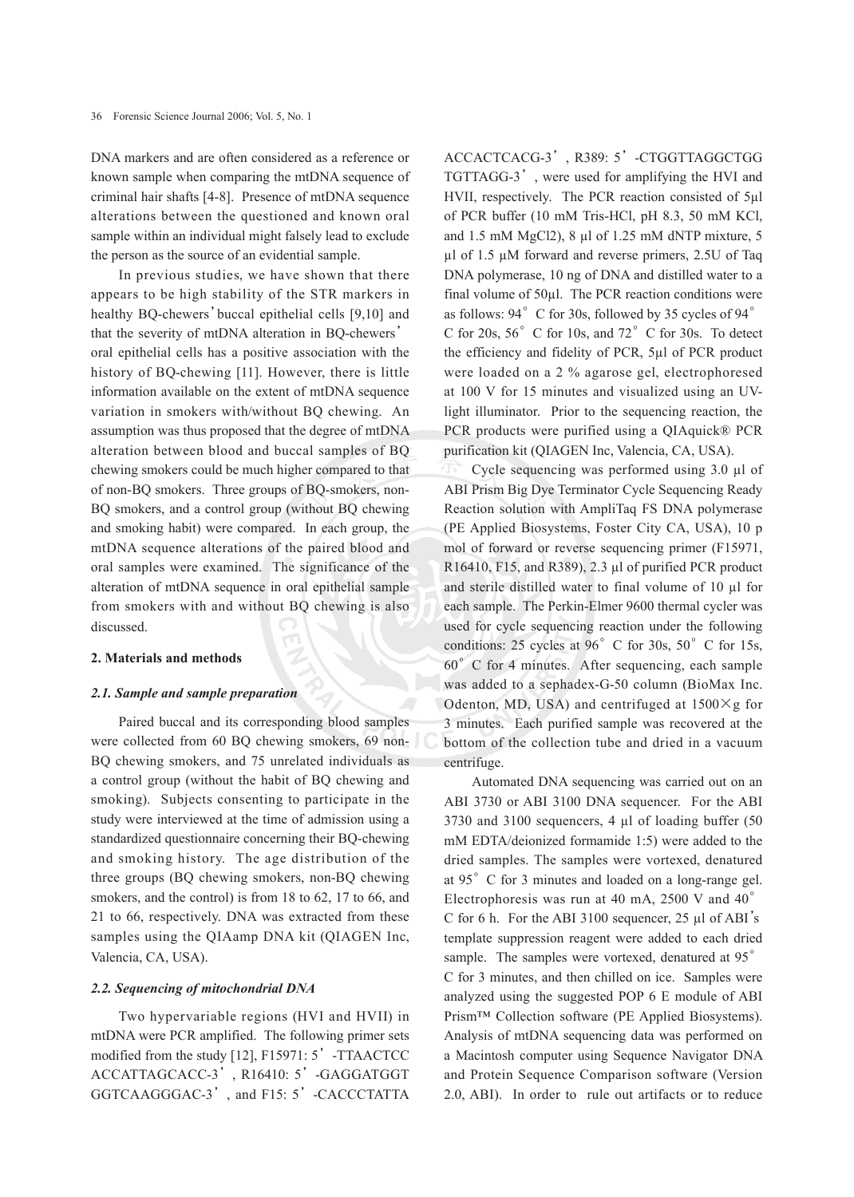DNA markers and are often considered as a reference or known sample when comparing the mtDNA sequence of criminal hair shafts [4-8]. Presence of mtDNA sequence alterations between the questioned and known oral sample within an individual might falsely lead to exclude the person as the source of an evidential sample.

In previous studies, we have shown that there appears to be high stability of the STR markers in healthy BQ-chewers'buccal epithelial cells [9,10] and that the severity of mtDNA alteration in BQ-chewers' oral epithelial cells has a positive association with the history of BQ-chewing [11]. However, there is little information available on the extent of mtDNA sequence variation in smokers with/without BQ chewing. An assumption was thus proposed that the degree of mtDNA alteration between blood and buccal samples of BQ chewing smokers could be much higher compared to that of non-BQ smokers. Three groups of BQ-smokers, non-BQ smokers, and a control group (without BQ chewing and smoking habit) were compared. In each group, the mtDNA sequence alterations of the paired blood and oral samples were examined. The significance of the alteration of mtDNA sequence in oral epithelial sample from smokers with and without BQ chewing is also discussed.

## **2. Materials and methods**

#### *2.1. Sample and sample preparation*

Paired buccal and its corresponding blood samples were collected from 60 BQ chewing smokers, 69 non-BQ chewing smokers, and 75 unrelated individuals as a control group (without the habit of BQ chewing and smoking). Subjects consenting to participate in the study were interviewed at the time of admission using a standardized questionnaire concerning their BQ-chewing and smoking history. The age distribution of the three groups (BQ chewing smokers, non-BQ chewing smokers, and the control) is from 18 to 62, 17 to 66, and 21 to 66, respectively. DNA was extracted from these samples using the QIAamp DNA kit (QIAGEN Inc, Valencia, CA, USA).

#### *2.2. Sequencing of mitochondrial DNA*

Two hypervariable regions (HVI and HVII) in mtDNA were PCR amplified. The following primer sets modified from the study [12], F15971: 5'-TTAACTCC ACCATTAGCACC-3', R16410: 5'-GAGGATGGT GGTCAAGGGAC-3', and F15: 5'-CACCCTATTA

ACCACTCACG-3', R389: 5'-CTGGTTAGGCTGG TGTTAGG-3', were used for amplifying the HVI and HVII, respectively. The PCR reaction consisted of 5µl of PCR buffer (10 mM Tris-HCl, pH 8.3, 50 mM KCl, and 1.5 mM MgCl2), 8 µl of 1.25 mM dNTP mixture, 5 µl of 1.5 µM forward and reverse primers, 2.5U of Taq DNA polymerase, 10 ng of DNA and distilled water to a final volume of 50µl. The PCR reaction conditions were as follows: 94°C for 30s, followed by 35 cycles of 94° C for 20s,  $56^\circ$  C for 10s, and  $72^\circ$  C for 30s. To detect the efficiency and fidelity of PCR, 5µl of PCR product were loaded on a 2 % agarose gel, electrophoresed at 100 V for 15 minutes and visualized using an UVlight illuminator. Prior to the sequencing reaction, the PCR products were purified using a QIAquick® PCR purification kit (QIAGEN Inc, Valencia, CA, USA).

Cycle sequencing was performed using 3.0 µl of ABI Prism Big Dye Terminator Cycle Sequencing Ready Reaction solution with AmpliTaq FS DNA polymerase (PE Applied Biosystems, Foster City CA, USA), 10 p mol of forward or reverse sequencing primer (F15971, R16410, F15, and R389), 2.3 µl of purified PCR product and sterile distilled water to final volume of 10 µl for each sample. The Perkin-Elmer 9600 thermal cycler was used for cycle sequencing reaction under the following conditions: 25 cycles at  $96^\circ$  C for 30s,  $50^\circ$  C for 15s, 60°C for 4 minutes. After sequencing, each sample was added to a sephadex-G-50 column (BioMax Inc. Odenton, MD, USA) and centrifuged at  $1500 \times g$  for 3 minutes. Each purified sample was recovered at the bottom of the collection tube and dried in a vacuum centrifuge.

Automated DNA sequencing was carried out on an ABI 3730 or ABI 3100 DNA sequencer. For the ABI 3730 and 3100 sequencers, 4 µl of loading buffer (50 mM EDTA/deionized formamide 1:5) were added to the dried samples. The samples were vortexed, denatured at 95°C for 3 minutes and loaded on a long-range gel. Electrophoresis was run at 40 mA, 2500 V and 40° C for 6 h. For the ABI 3100 sequencer, 25 µl of ABI's template suppression reagent were added to each dried sample. The samples were vortexed, denatured at 95° C for 3 minutes, and then chilled on ice. Samples were analyzed using the suggested POP 6 E module of ABI Prism™ Collection software (PE Applied Biosystems). Analysis of mtDNA sequencing data was performed on a Macintosh computer using Sequence Navigator DNA and Protein Sequence Comparison software (Version 2.0, ABI). In order to rule out artifacts or to reduce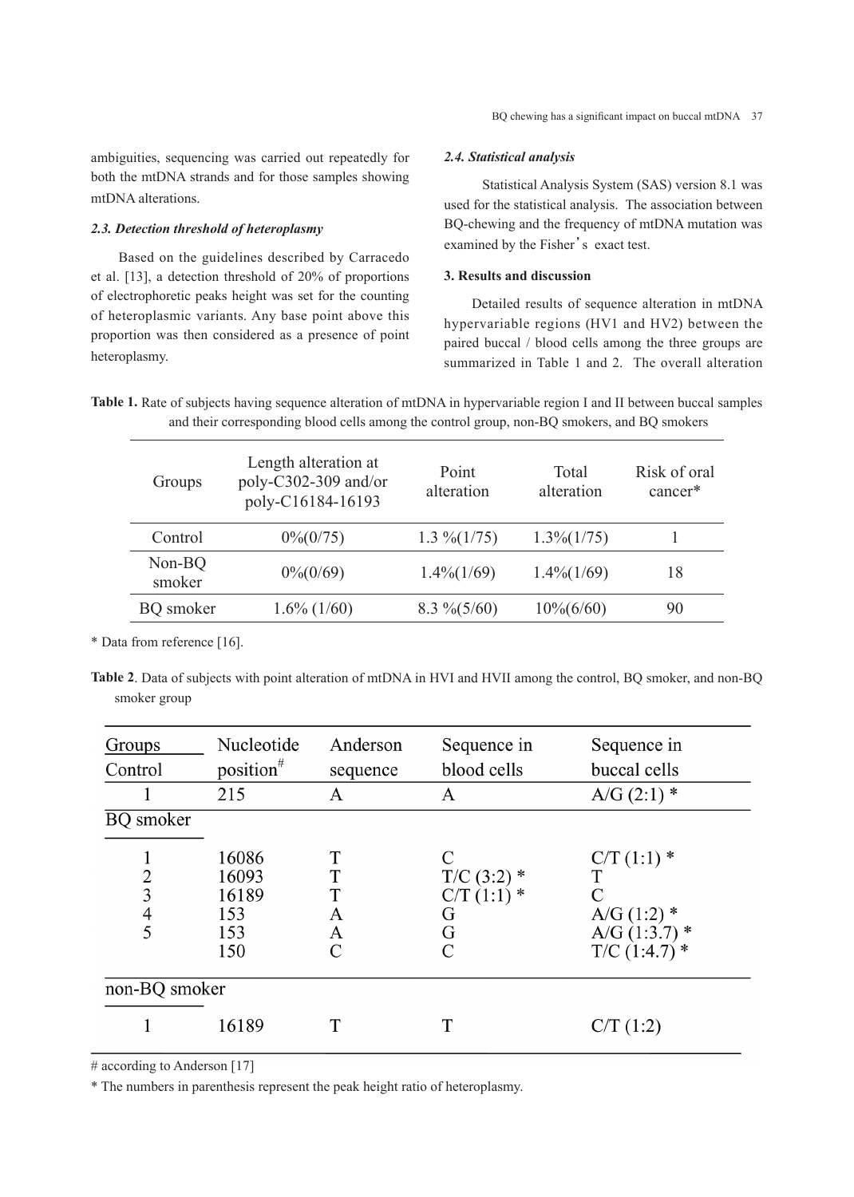ambiguities, sequencing was carried out repeatedly for both the mtDNA strands and for those samples showing mtDNA alterations.

## *2.3. Detection threshold of heteroplasmy*

Based on the guidelines described by Carracedo et al. [13], a detection threshold of 20% of proportions of electrophoretic peaks height was set for the counting of heteroplasmic variants. Any base point above this proportion was then considered as a presence of point heteroplasmy.

# *2.4. Statistical analysis*

Statistical Analysis System (SAS) version 8.1 was used for the statistical analysis. The association between BQ-chewing and the frequency of mtDNA mutation was examined by the Fisher's exact test.

### **3. Results and discussion**

Detailed results of sequence alteration in mtDNA hypervariable regions (HV1 and HV2) between the paired buccal / blood cells among the three groups are summarized in Table 1 and 2. The overall alteration

**Table 1.** Rate of subjects having sequence alteration of mtDNA in hypervariable region I and II between buccal samples and their corresponding blood cells among the control group, non-BQ smokers, and BQ smokers

| Groups           | Length alteration at<br>poly-C302-309 and/or<br>poly-C16184-16193 | Point<br>alteration | Total<br>alteration | Risk of oral<br>cancer* |
|------------------|-------------------------------------------------------------------|---------------------|---------------------|-------------------------|
| Control          | $0\% (0/75)$                                                      | $1.3\% (1/75)$      | $1.3\%(1/75)$       |                         |
| Non-BQ<br>smoker | $0\% (0/69)$                                                      | $1.4\%$ (1/69)      | $1.4\%$ (1/69)      | 18                      |
| <b>BQ</b> smoker | $1.6\%$ (1/60)                                                    | $8.3\% (5/60)$      | $10\% (6/60)$       | 90                      |

\* Data from reference [16].

**Table 2**. Data of subjects with point alteration of mtDNA in HVI and HVII among the control, BQ smoker, and non-BQ smoker group

| Groups                   | Nucleotide                                   | Anderson              | Sequence in                                                | Sequence in                                                           |  |  |
|--------------------------|----------------------------------------------|-----------------------|------------------------------------------------------------|-----------------------------------------------------------------------|--|--|
| Control                  | position $*$                                 | sequence              | blood cells                                                | buccal cells                                                          |  |  |
|                          | 215                                          | A                     | A                                                          | $A/G(2:1)$ *                                                          |  |  |
| <b>BQ</b> smoker         |                                              |                       |                                                            |                                                                       |  |  |
| $\overline{2}$<br>3<br>4 | 16086<br>16093<br>16189<br>153<br>153<br>150 | T<br>T<br>A<br>Α<br>C | $T/C$ (3:2) $*$<br>$C/T(1:1)$ *<br>G<br>G<br>$\mathcal{C}$ | $C/T(1:1)$ *<br>A/G $(1:2)$ *<br>A/G $(1:3.7)$ *<br>$T/C$ (1:4.7) $*$ |  |  |
| non-BQ smoker            |                                              |                       |                                                            |                                                                       |  |  |
|                          | 16189                                        |                       | T                                                          | C/T(1:2)                                                              |  |  |

# according to Anderson [17]

\* The numbers in parenthesis represent the peak height ratio of heteroplasmy.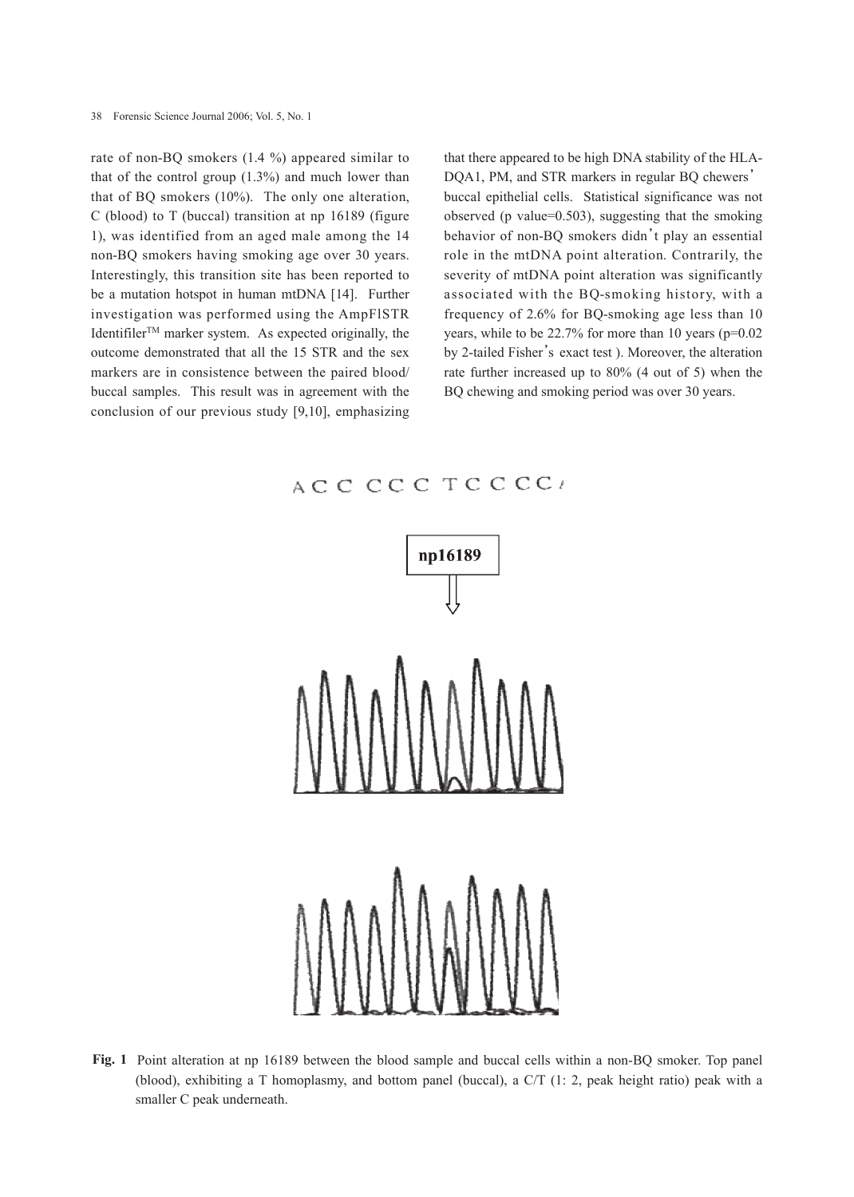rate of non-BQ smokers (1.4 %) appeared similar to that of the control group  $(1.3\%)$  and much lower than that of BQ smokers (10%). The only one alteration, C (blood) to T (buccal) transition at np 16189 (figure 1), was identified from an aged male among the 14 non-BQ smokers having smoking age over 30 years. Interestingly, this transition site has been reported to be a mutation hotspot in human mtDNA [14]. Further investigation was performed using the AmpFlSTR Identifiler<sup>TM</sup> marker system. As expected originally, the outcome demonstrated that all the 15 STR and the sex markers are in consistence between the paired blood/ buccal samples. This result was in agreement with the conclusion of our previous study [9,10], emphasizing that there appeared to be high DNA stability of the HLA-DQA1, PM, and STR markers in regular BQ chewers' buccal epithelial cells. Statistical significance was not observed (p value=0.503), suggesting that the smoking behavior of non-BQ smokers didn't play an essential role in the mtDNA point alteration. Contrarily, the severity of mtDNA point alteration was significantly associated with the BQ-smoking history, with a frequency of 2.6% for BQ-smoking age less than 10 years, while to be 22.7% for more than 10 years (p=0.02 by 2-tailed Fisher's exact test ). Moreover, the alteration rate further increased up to 80% (4 out of 5) when the BQ chewing and smoking period was over 30 years.

# ACCCCCTCCCC



**Fig. 1** Point alteration at np 16189 between the blood sample and buccal cells within a non-BQ smoker. Top panel (blood), exhibiting a T homoplasmy, and bottom panel (buccal), a C/T (1: 2, peak height ratio) peak with a smaller C peak underneath.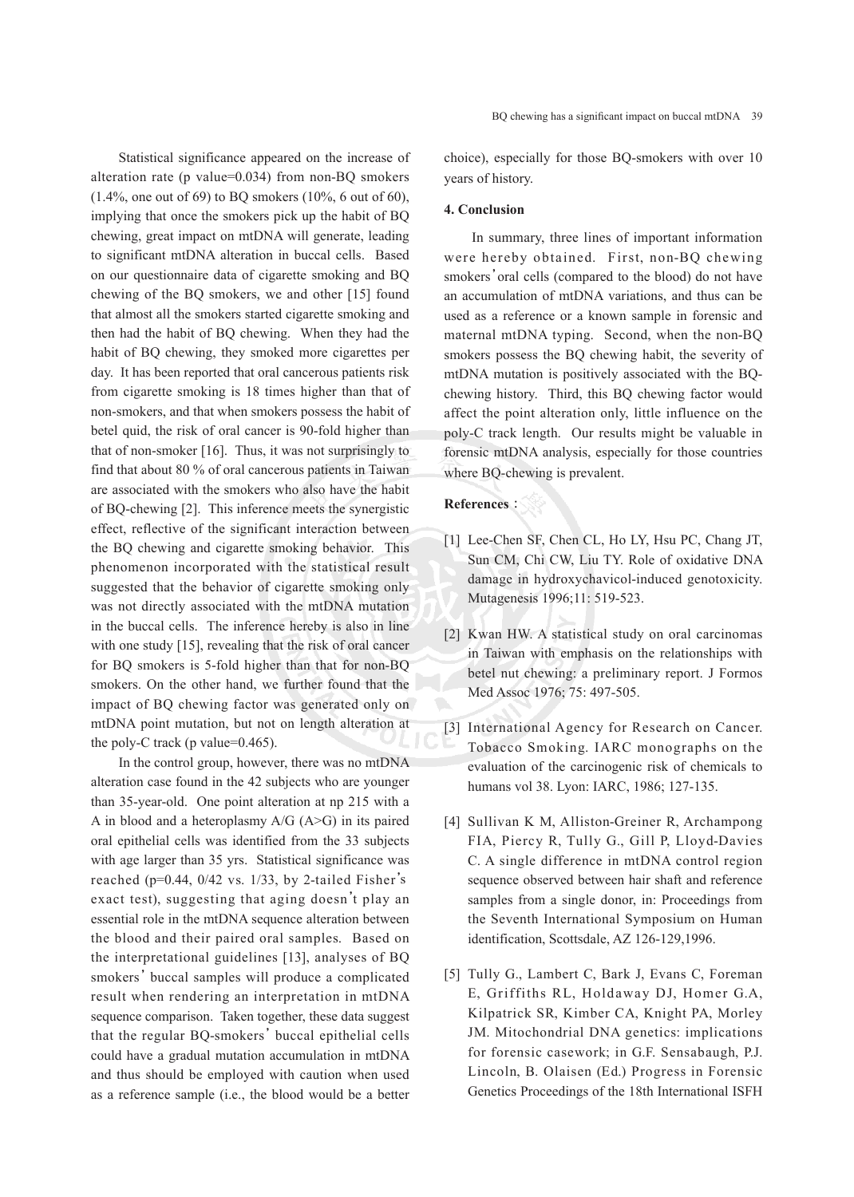Statistical significance appeared on the increase of alteration rate (p value=0.034) from non-BQ smokers (1.4%, one out of 69) to BQ smokers (10%, 6 out of 60), implying that once the smokers pick up the habit of BQ chewing, great impact on mtDNA will generate, leading to significant mtDNA alteration in buccal cells. Based on our questionnaire data of cigarette smoking and BQ chewing of the BQ smokers, we and other [15] found that almost all the smokers started cigarette smoking and then had the habit of BQ chewing. When they had the habit of BQ chewing, they smoked more cigarettes per day. It has been reported that oral cancerous patients risk from cigarette smoking is 18 times higher than that of non-smokers, and that when smokers possess the habit of betel quid, the risk of oral cancer is 90-fold higher than that of non-smoker [16]. Thus, it was not surprisingly to find that about 80 % of oral cancerous patients in Taiwan are associated with the smokers who also have the habit of BQ-chewing [2]. This inference meets the synergistic effect, reflective of the significant interaction between the BQ chewing and cigarette smoking behavior. This phenomenon incorporated with the statistical result suggested that the behavior of cigarette smoking only was not directly associated with the mtDNA mutation in the buccal cells. The inference hereby is also in line with one study [15], revealing that the risk of oral cancer for BQ smokers is 5-fold higher than that for non-BQ smokers. On the other hand, we further found that the impact of BQ chewing factor was generated only on mtDNA point mutation, but not on length alteration at the poly-C track (p value=0.465).

In the control group, however, there was no mtDNA alteration case found in the 42 subjects who are younger than 35-year-old. One point alteration at np 215 with a A in blood and a heteroplasmy  $A/G$  (A>G) in its paired oral epithelial cells was identified from the 33 subjects with age larger than 35 yrs. Statistical significance was reached (p=0.44, 0/42 vs. 1/33, by 2-tailed Fisher' sexact test), suggesting that aging doesn't play an essential role in the mtDNA sequence alteration between the blood and their paired oral samples. Based on the interpretational guidelines [13], analyses of BQ smokers'buccal samples will produce a complicated result when rendering an interpretation in mtDNA sequence comparison. Taken together, these data suggest that the regular BQ-smokers'buccal epithelial cells could have a gradual mutation accumulation in mtDNA and thus should be employed with caution when used as a reference sample (i.e., the blood would be a better choice), especially for those BQ-smokers with over 10 years of history.

#### **4. Conclusion**

In summary, three lines of important information were hereby obtained. First, non-BQ chewing smokers'oral cells (compared to the blood) do not have an accumulation of mtDNA variations, and thus can be used as a reference or a known sample in forensic and maternal mtDNA typing. Second, when the non-BQ smokers possess the BQ chewing habit, the severity of mtDNA mutation is positively associated with the BQchewing history. Third, this BQ chewing factor would affect the point alteration only, little influence on the poly-C track length. Our results might be valuable in forensic mtDNA analysis, especially for those countries where BQ-chewing is prevalent.

#### **References**:

- [1] Lee-Chen SF, Chen CL, Ho LY, Hsu PC, Chang JT, Sun CM, Chi CW, Liu TY. Role of oxidative DNA damage in hydroxychavicol-induced genotoxicity. Mutagenesis 1996;11: 519-523.
- [2] Kwan HW. A statistical study on oral carcinomas in Taiwan with emphasis on the relationships with betel nut chewing: a preliminary report. J Formos Med Assoc 1976; 75: 497-505.
- [3] International Agency for Research on Cancer. Tobacco Smoking. IARC monographs on the evaluation of the carcinogenic risk of chemicals to humans vol 38. Lyon: IARC, 1986; 127-135.
- [4] Sullivan K M, Alliston-Greiner R, Archampong FIA, Piercy R, Tully G., Gill P, Lloyd-Davies C. A single difference in mtDNA control region sequence observed between hair shaft and reference samples from a single donor, in: Proceedings from the Seventh International Symposium on Human identification, Scottsdale, AZ 126-129,1996.
- [5] Tully G., Lambert C, Bark J, Evans C, Foreman E, Griffiths RL, Holdaway DJ, Homer G.A, Kilpatrick SR, Kimber CA, Knight PA, Morley JM. Mitochondrial DNA genetics: implications for forensic casework; in G.F. Sensabaugh, P.J. Lincoln, B. Olaisen (Ed.) Progress in Forensic Genetics Proceedings of the 18th International ISFH